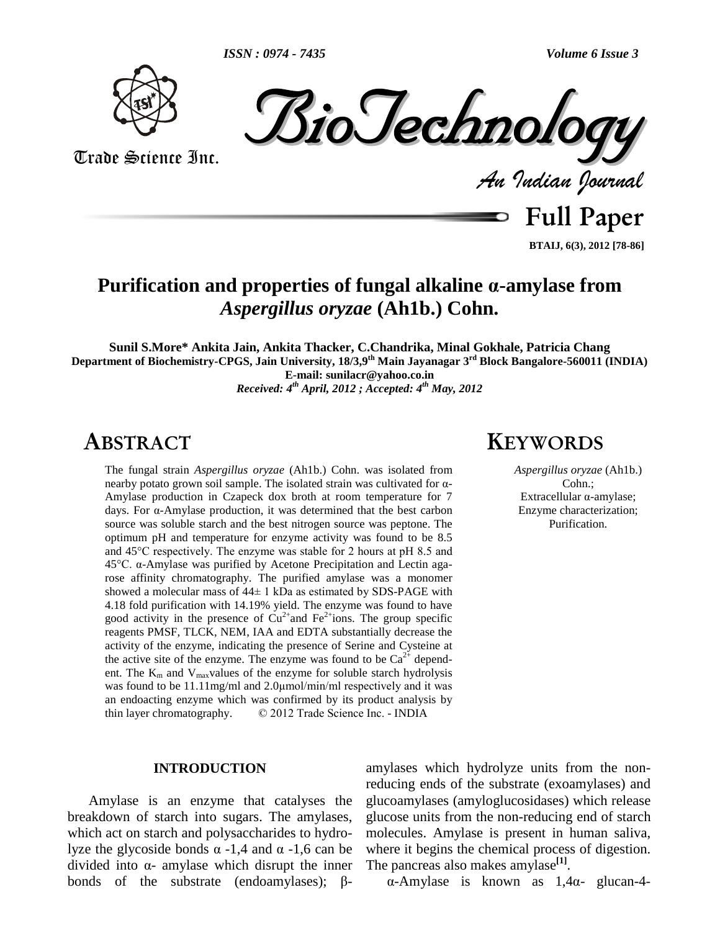



Trade Science Inc. Trade Science Inc.



**Full Paper BTAIJ, 6(3), 2012 [78-86]**

## **Purification and properties of fungal alkaline ·-amylase from** *Aspergillus oryzae* **(Ah1b.) Cohn.**

**Sunil S.More\* Ankita Jain, Ankita Thacker, C.Chandrika, Minal Gokhale, Patricia Chang Department of Biochemistry-CPGS, Jain University, 18/3,9 th Main Jayanagar 3 rd Block Bangalore-560011 (INDIA) E-mail: [sunilacr@yahoo.co.in](mailto:sunilacr@yahoo.co.in)** *Received: 4 th April, 2012 ; Accepted: 4 th May, 2012*

## **ABSTRACT KEYWORDS**

The fungal strain *Aspergillus oryzae* (Ah1b.) Cohn. was isolated from The fungal strain *Aspergillus oryzae* (Ah1b.) Cohn. was isolated from<br>nearby potato grown soil sample. The isolated strain was cultivated for  $\alpha$ -Amylase production in Czapeck dox broth at room temperature for 7 nearby potato grown soil sample. The isolated strain was cultivated for  $\alpha$ -Amylase production in Czapeck dox broth at room temperature for 7 days. For  $\alpha$ -Amylase production, it was determined that the best carbon source was soluble starch and the best nitrogen source was peptone. The optimum pH and temperature for enzyme activity was found to be 8.5 source was soluble starch and the best nitrogen source was peptone. The optimum pH and temperature for enzyme activity was found to be 8.5 and 45°C respectively. The enzyme was stable for 2 hours at pH 8.5 and optimum pH and temperature for enzyme activity was found to be 8.5 and 45°C respectively. The enzyme was stable for 2 hours at pH 8.5 and 45°C.  $\alpha$ -Amylase was purified by Acetone Precipitation and Lectin agarose affinity chromatography. The purified amylase was a monomer 45°C.  $\alpha$ -Amylase was purified by Acetone Precipitation and Lectin agarrose affinity chromatography. The purified amylase was a monomer showed a molecular mass of 44 $\pm$  1 kDa as estimated by SDS-PAGE with 4.18 fold purification with 14.19% yield. The enzyme was found to have good activity in the presence of  $Cu^{2+}$  and Fe<sup>2+</sup>ions. The group specific reagents PMSF, TLCK, NEM, IAA and EDTA substantially decrease the activity of the enzyme, indicating the presence of Serine and Cysteine at the active site of the enzyme. The enzyme was found to be  $Ca^{2+}$  dependent. The  $K_m$  and  $V_{max}$ values of the enzyme for soluble starch hydrolysis was found to be 11.11mg/ml and 2.0 $\mu$ mol/min/ml respectively and it was ent. The  $K<sub>m</sub>$  and  $V<sub>max</sub>$ values of the enzyme for soluble starch hydrolysis an endoacting enzyme which was confirmed by its product analysis by was found to be 11.11 mg/ml and 2.0 $\mu$ mol/min/ml respectively and it was an endoacting enzyme which was confirmed by its product analysis by thin layer chromatography.  $\textcircled{2012}$  Trade Science Inc. - INDIA

#### **INTRODUCTION**

Amylase is an enzyme that catalyses the breakdown of starch into sugars. The amylases, which act on starch and polysaccharides to hydrobreakdown of starch into sugars. The amylases, glucoside bonds a -1,4 and  $\alpha$  -1,6 can be where which act on starch and polysaccharides to hydro-<br>lyze the glycoside bonds  $\alpha$  -1,4 and  $\alpha$  -1,6 can be whe<br>divided into  $\alpha$ - amylase which disrupt the inner The lyze the glycoside bonds  $\alpha$  -1,4 and  $\alpha$  -1,6 can be whe<br>divided into  $\alpha$ - amylase which disrupt the inner The<br>bonds of the substrate (endoamylases);  $\beta$ -

*Aspergillus oryzae* (Ah1b.) Cohn.; Extracellular  $\alpha$ -amylase; Enzyme characterization; Purification.

amylases which hydrolyze units from the nonreducing ends of the substrate (exoamylases) and glucoamylases (amyloglucosidases) which release glucose units from the non-reducing end of starch molecules. Amylase is present in human saliva, where it begins the chemical process of digestion. where it begins the chemical process of d<br>The pancreas also makes amylase<sup>[1]</sup>.

 $\alpha$ -Amylase is known as 1,4 $\alpha$ - glucan-4-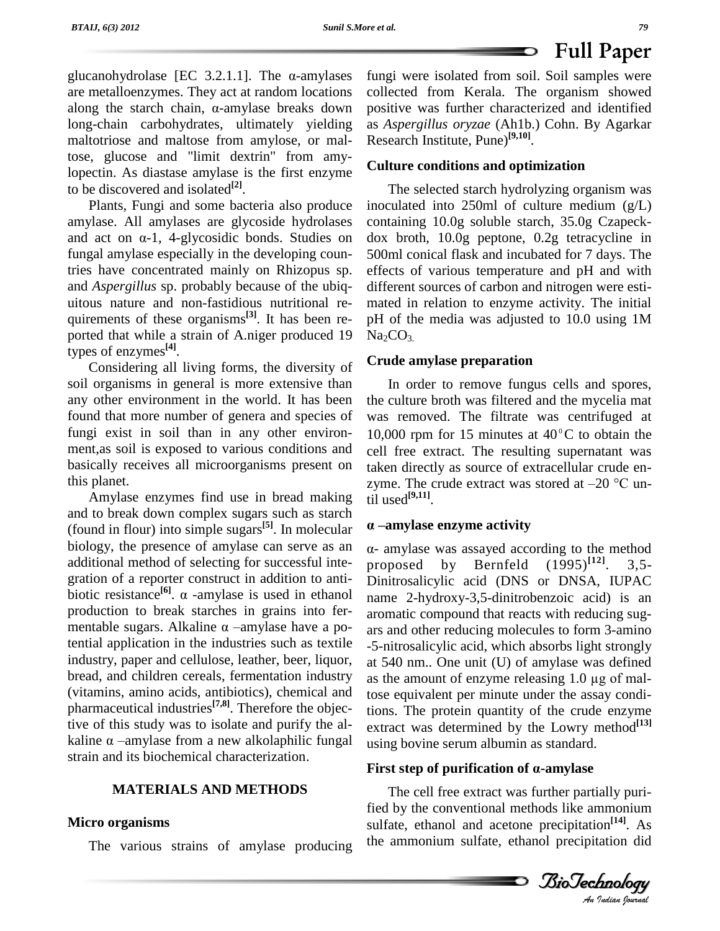glucanohydrolase [EC 3.2.1.1]. The  $\alpha$ -amylases fung are metalloenzymes. They act at random locations glucanohydrolase [EC 3.2.1.1]. The  $\alpha$ -amylases fungivare metalloenzymes. They act at random locations collect along the starch chain,  $\alpha$ -amylase breaks down positive long-chain carbohydrates, ultimately yielding maltotriose and maltose from amylose, or maltose, glucose and "limit dextrin" from amylopectin. As diastase amylase is the first enzyme to be discovered and isolated **[2]**.

Plants, Fungi and some bacteria also produce amylase. All amylases are glycoside hydrolases Plants, Fungi and some bacteria also produce inocula<br>amylase. All amylases are glycoside hydrolases contain<br>and act on  $\alpha$ -1, 4-glycosidic bonds. Studies on dox b fungal amylase especially in the developing countries have concentrated mainly on Rhizopus sp. and *Aspergillus* sp. probably because of the ubiq uitous nature and non-fastidious nutritional re quirements of these organisms<sup>[3]</sup>. It has been re- pH ported that while a strain of A.niger produced 19 types of enzymes **[4]**.

Considering all living forms, the diversity of soil organisms in general is more extensive than any other environment in the world. It has been found that more number of genera and species of fungi exist in soil than in any other environ ment,as soil is exposed to various conditions and basically receives all microorganisms present on this planet.

Amylase enzymes find use in bread making and to break down complex sugars such as starch (found in flour) into simple sugars<sup>[5]</sup>. In molecular  $\alpha$  biology, the presence of amylase can serve as an additional method of selecting for successful inte-<br>proposed gration of a reporter construct in addition to antiadditional method of selecting for successful integration of a reporter construct in addition to anti-<br>biotic resistance<sup>[6]</sup>.  $\alpha$  -amylase is used in ethanol na production to break starches in grains into fer biotic resistance<sup>[6]</sup>.  $\alpha$  -amylase is used in ethanol production to break starches in grains into fermentable sugars. Alkaline  $\alpha$  -amylase have a potential application in the industries such as textile industry, paper and cellulose, leather, beer, liquor, bread, and children cereals, fermentation industry as the amount of enzyme releasing 1.0 µg of mal-(vitamins, amino acids, antibiotics), chemical and pharmaceutical industries<sup>[7,8]</sup>. Therefore the objective of this study was to isolate and purify the algebral ex-<br>kaline  $\alpha$  -amylase from a new alkolaphilic fungal usi tive of this study was to isolate and purify the al strain and its biochemical characterization.

#### **MATERIALS AND METHODS**

#### **Micro organisms**

The various strains of amylase producing

fungi were isolated from soil. Soil samples were collected from Kerala. The organism showed positive was further characterized and identified as *Aspergillus oryzae* (Ah1b.) Cohn. By Agarkar Research Institute, Pune) **[9,10]**.

 $\bullet$ 

#### **Culture conditions and optimization**

The selected starch hydrolyzing organism was inoculated into 250ml of culture medium (g/L) containing 10.0g soluble starch, 35.0g Czapeck dox broth, 10.0g peptone, 0.2g tetracycline in 500ml conical flask and incubated for 7 days. The effects of various temperature and pH and with different sources of carbon and nitrogen were esti mated in relation to enzyme activity. The initial pH of the media was adjusted to 10.0 using 1M  $Na<sub>2</sub>CO<sub>3</sub>$ 

#### **Crude amylase preparation**

In order to remove fungus cells and spores, the culture broth was filtered and the mycelia mat was removed. The filtrate was centrifuged at 10,000 rpm for 15 minutes at  $40^{\circ}$ C to obtain the cell free extract. The resulting supernatant was taken directly as source of extracellular crude en-<br>zyme. The crude extract was stored at  $-20$  °C untaken directly as source of extracellular crude en zyme. The crude<br>til used<sup>[9,11]</sup>. Ine. The crude extract was stored at<br>used<sup>[9,11]</sup>.<br>**-amylase enzyme activity** 

using bovine serum albumin as standard. - amylase was assayed according to the method proposed by Bernfeld (1995) **[12]**. 3,5- Dinitrosalicylic acid (DNS or DNSA, IUPAC name 2-hydroxy-3,5-dinitrobenzoic acid) is an aromatic compound that reacts with reducing sug ars and other reducing molecules to form 3-amino -5-nitrosalicylic acid, which absorbs light strongly<br>at 540 nm.. One unit (U) of amylase was defined<br>as the amount of enzyme releasing 1.0 µg of malat 540 nm.. One unit (U) of amylase was defined tose equivalent per minute under the assay conditions. The protein quantity of the crude enzyme extract was determined by the Lowry method **[13] exuact** was determined by the LOWTy method<br>using bovine serum albumin as standard.<br>**First step of purification of α-amylase** 

*An*fied by the conventional methods like ammonium The cell free extract was further partially purisulfate, ethanol and acetone precipitation **[14]**. As the ammonium sulfate, ethanol precipitation did

**Full Paper**

*Indian Journal*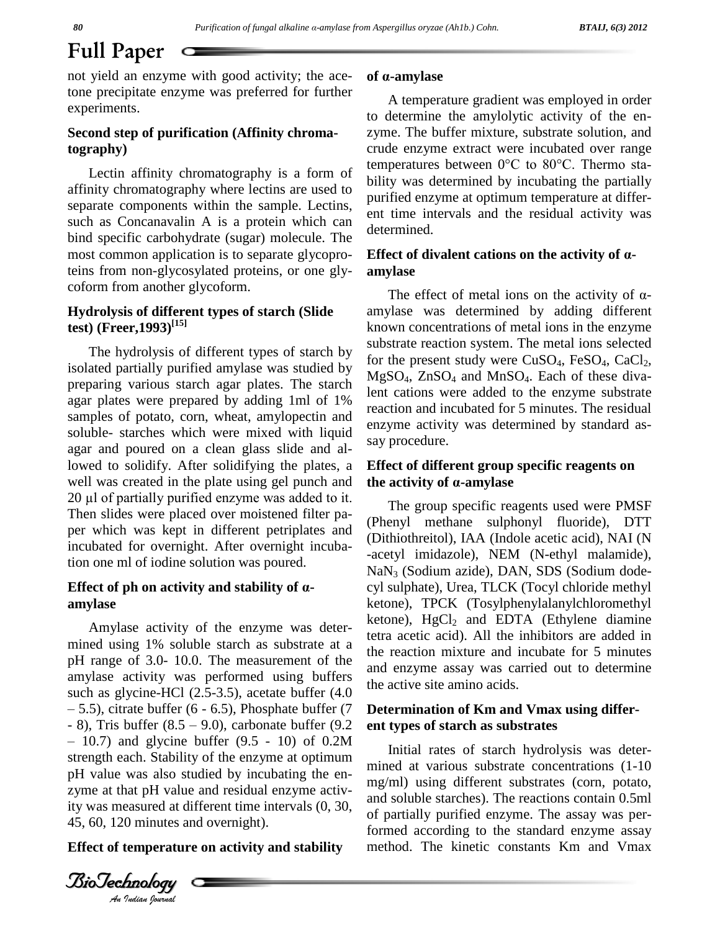# **Full Paper**

not yield an enzyme with good activity; the acetone precipitate enzyme was preferred for further experiments.

#### **Second step of purification (Affinity chromatography)**

affinity chromatography where lectins are used to separate components within the sample. Lectins, such as Concanavalin A is a protein which can bind specific carbohydrate (sugar) molecule. The most common application is to separate glycoproteins from non-glycosylated proteins, or one gly coform from another glycoform.

### **Hydrolysis of different types of starch (Slide test) (Freer,1993) [15]**

The hydrolysis of different types of starch by isolated partially purified amylase was studied by preparing various starch agar plates. The starch agar plates were prepared by adding 1ml of 1% samples of potato, corn, wheat, amylopectin and soluble- starches which were mixed with liquid agar and poured on a clean glass slide and allowed to solidify. After solidifying the plates, a **Effec** well was created in the plate using gel punch and **the a** a 20 μl of partially purified enzyme was added to it. well was created in the plate using gel punch and the activity of  $\alpha$ -amylase Then slides were placed over moistened filter pa per which was kept in different petriplates and incubated for overnight. After overnight incubation one ml of iodine solution was poured.

#### **Effect of ph on activity and stability of · amylase**

 $-10.7$  and glycine butter (9.5 - 10) of 0.2M<br>strength each. Stability of the enzyme at optimum ity was measured at different time intervals  $(0, 30, \frac{an}{\epsilon^4})$ Amylase activity of the enzyme was deter mined using 1% soluble starch as substrate at a pH range of 3.0- 10.0. The measurement of the amylase activity was performed using buffers  $\frac{d}{d\theta}$ such as glycine-HCl (2.5-3.5), acetate buffer (4.0<br>  $-$  5.5), citrate buffer (6 - 6.5), Phosphate buffer (7 **Deteri**<br>
- 8), Tris buffer (8.5 – 9.0), carbonate buffer (9.2 **ent ty**  $-5.5$ ), citrate buffer (6 - 6.5), Phosphate buffer (7 Detern  $-10.7$ ) and glycine buffer  $(9.5 \text{ - } 10)$  of  $0.2M$ pH value was also studied by incubating the en zyme at that pH value and residual enzyme activ-45, 60, 120 minutes and overnight).

#### **Effect of temperature on activity and stability**

*Indian Journal*

#### **of ·-amylase**

Lectin affinity chromatography is a form of temperatures between  $0^{\circ}$ C to  $80^{\circ}$ C. Thermo sta-A temperature gradient was employed in order to determine the amylolytic activity of the en zyme. The buffer mixture, substrate solution, and crude enzyme extract were incubated over range temperatures between  $0^{\circ}$ C to  $80^{\circ}$ C. Thermo stacrude enzyme extract were incubated over range bility was determined by incubating the partially purified enzyme at optimum temperature at differ ent time intervals and the residual activity was determined.

#### **Effect of divalent cations on the activity of · amylase**

The effect of metal ions on the activity of  $\alpha$ amylase was determined by adding different known concentrations of metal ions in the enzyme substrate reaction system. The metal ions selected for the present study were  $CuSO<sub>4</sub>$ ,  $FeSO<sub>4</sub>$ ,  $CaCl<sub>2</sub>$ ,  $MgSO<sub>4</sub>$ ,  $ZnSO<sub>4</sub>$  and  $MnSO<sub>4</sub>$ . Each of these divalent cations were added to the enzyme substrate reaction and incubated for 5 minutes. The residual enzyme activity was determined by standard as say procedure.

# **Effect of different group specific reagents on** say procedure.<br>**Effect of different group specific<br>the activity of α-amylase**

The group specific reagents used were PMSF (Phenyl methane sulphonyl fluoride), DTT (Dithiothreitol), IAA (Indole acetic acid), NAI (N -acetyl imidazole), NEM (N-ethyl malamide), NaN<sup>3</sup> (Sodium azide), DAN, SDS (Sodium dode cyl sulphate), Urea, TLCK (Tocyl chloride methyl ketone), TPCK (Tosylphenylalanylchloromethyl ketone),  $HgCl<sub>2</sub>$  and EDTA (Ethylene diamine tetra acetic acid). All the inhibitors are added in the reaction mixture and incubate for 5 minutes and enzyme assay was carried out to determine the active site amino acids.

#### **Determination of Km and Vmax using differ ent types of starch assubstrates**

Initial rates of starch hydrolysis was deter mined at various substrate concentrations (1-10 mg/ml) using different substrates (corn, potato, and soluble starches). The reactions contain 0.5ml of partially purified enzyme. The assay was performed according to the standard enzyme assay method. The kinetic constants Km and Vmax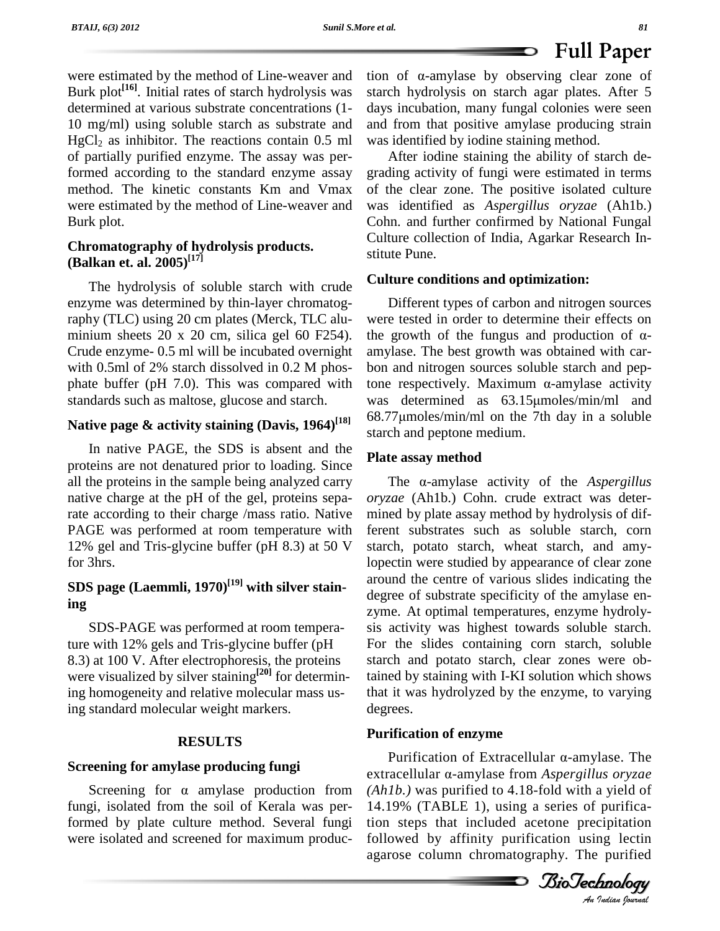were estimated by the method of Line-weaver and Burk plot<sup>[16]</sup>. Initial rates of starch hydrolysis was starc determined at various substrate concentrations (1- 10 mg/ml) using soluble starch as substrate and  $HgCl<sub>2</sub>$  as inhibitor. The reactions contain 0.5 ml of partially purified enzyme. The assay was performed according to the standard enzyme assay method. The kinetic constants Km and Vmax were estimated by the method of Line-weaver and Burk plot.

### **Chromatography of hydrolysis products. (Balkan et. al. 2005) [17]**

The hydrolysis of soluble starch with crude enzyme was determined by thin-layer chromatography (TLC) using 20 cm plates (Merck, TLC alu minium sheets  $20 \times 20$  cm, silica gel 60 F254). Crude enzyme- 0.5 ml will be incubated overnight with 0.5ml of 2% starch dissolved in 0.2 M phos phate buffer (pH 7.0). This was compared with tone respectively. Maximum  $\alpha$ -amylase activity standards such as maltose, glucose and starch.

## **Native page & activity staining (Davis, 1964) [18]**

In native PAGE, the SDS is absent and the proteins are not denatured prior to loading. Since all the proteins in the sample being analyzed carry native charge at the pH of the gel, proteins separate according to their charge /mass ratio. Native PAGE was performed at room temperature with 12% gel and Tris-glycine buffer (pH 8.3) at 50 V for 3hrs.

## **SDS page (Laemmli, 1970) [19] with silver staining**

SDS-PAGE was performed at room temperature with 12% gels and Tris-glycine buffer (pH 8.3) at 100 V. After electrophoresis, the proteins were visualized by silver staining<sup>[20]</sup> for determining homogeneity and relative molecular mass using standard molecular weight markers.

#### **RESULTS**

#### **Screening for amylase producing fungi**

Screening for  $\alpha$  amylase production from fungi, isolated from the soil of Kerala was performed by plate culture method. Several fungi were isolated and screened for maximum produc**EXECUTE 1988 FUII Paper** tion of  $\alpha$ -amylase by observing clear zone of starch hydrolysis on starch agar plates. After 5 days incubation, many fungal colonies were seen and from that positive amylase producing strain was identified by iodine staining method.

After iodine staining the ability of starch de grading activity of fungi were estimated in terms of the clear zone. The positive isolated culture was identified as *Aspergillus oryzae* (Ah1b.) Cohn. and further confirmed by National Fungal Culture collection of India, Agarkar Research In stitute Pune.

#### **Culture conditions and optimization:**

Different types of carbon and nitrogen sources were tested in order to determine their effects on the growth of the fungus and production of  $\alpha$ amylase. The best growth was obtained with car-<br>bon and nitrogen sources soluble starch and pep-<br>tone respectively. Maximum  $\alpha$ -amylase activity bon and nitrogen sources soluble starch and pepbon and nitrogen sources soluble starch and pep-<br>tone respectively. Maximum  $\alpha$ -amylase activity<br>was determined as 63.15µmoles/min/ml and tone respectively. Maximum  $\alpha$ -amylase activity<br>was determined as 63.15µmoles/min/ml and<br>68.77µmoles/min/ml on the 7th day in a soluble starch and peptone medium.

#### **Plate assay method**

The  $\alpha$ -amylase activity of the *Aspergillus oryzae* (Ah1b.) Cohn. crude extract was deter mined by plate assay method by hydrolysis of different substrates such as soluble starch, corn starch, potato starch, wheat starch, and amylopectin were studied by appearance of clear zone around the centre of various slides indicating the degree of substrate specificity of the amylase en zyme. At optimal temperatures, enzyme hydroly sis activity was highest towards soluble starch. For the slides containing corn starch, soluble starch and potato starch, clear zones were obtained by staining with I-KI solution which shows that it was hydrolyzed by the enzyme, to varying degrees.

#### **Purification of enzyme**

**ification of enzyme**<br>Purification of Extracellular α-amylase. The *An*14.19% (TABLE 1), using a series of purificaextracellular α-amylase from *Aspergillus oryzae (Ah1b.)* was purified to 4.18-fold with a yield of tion steps that included acetone precipitation followed by affinity purification using lectin agarose column chromatography. The purified

*Indian Journal*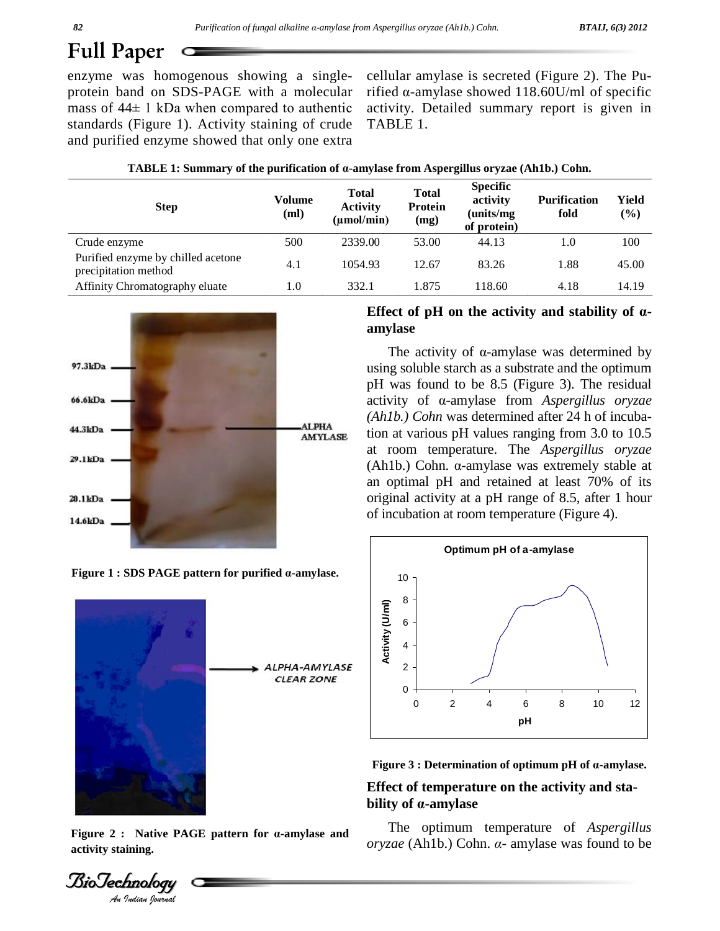# **Full Paper**

enzyme was homogenous showing a single protein band on SDS-PAGE with a molecular enzyme was homogenous showing a single- cellul<br>protein band on SDS-PAGE with a molecular rified<br>mass of 44± 1 kDa when compared to authentic activi standards (Figure 1). Activity staining of crude

cellular amylase is secreted (Figure 2). The Purified  $\alpha$ -amylase showed 118.60U/ml of specific activity. Detailed summary report is given in TABLE 1.

| and purified enzyme showed that only one extra                                                                   |  |
|------------------------------------------------------------------------------------------------------------------|--|
| <b>TABLE 1: Summary of the purification of <math>\alpha</math>-amylase from Aspergillus oryzae (Ah1b.) Cohn.</b> |  |

| <b>Step</b>                                                | Volume<br>(ml) | Total<br><b>Activity</b><br>$(\mu mol/min)$ | <b>Total</b><br><b>Protein</b><br>(mg) | <b>Specific</b><br>activity<br>(units/mg)<br>of protein) | <b>Purification</b><br>fold | Yield<br>$(\%)$ |
|------------------------------------------------------------|----------------|---------------------------------------------|----------------------------------------|----------------------------------------------------------|-----------------------------|-----------------|
| Crude enzyme                                               | 500            | 2339.00                                     | 53.00                                  | 44.13                                                    | 1.0                         | 100             |
| Purified enzyme by chilled acetone<br>precipitation method | 4.1            | 1054.93                                     | 12.67                                  | 83.26                                                    | 1.88                        | 45.00           |
| Affinity Chromatography eluate                             | l.O            | 332.1                                       | 1.875                                  | 118.60                                                   | 4.18                        | 14.19           |



**Figure <sup>1</sup> : SDS PAGE pattern for purified ·-amylase.**



**activity staining.**

*Indian Journal*

### **Effect of pH on the activity and stability of· amylase**

The activity of  $\alpha$ -amylase was determined by using soluble starch as a substrate and the optimum pH was found to be 8.5 (Figure 3). The residual activity of  $\alpha$ -amylase from *Aspergillus oryzae (Ah1b.) Cohn* was determined after 24 h of incubation at various pH values ranging from 3.0 to 10.5<br>at room temperature. The *Aspergillus oryzae*<br>(Ah1b.) Cohn. α-amylase was extremely stable at at room temperature. The *Aspergillus oryzae* an optimal pH and retained at least 70% of its original activity at a pH range of 8.5, after 1 hour of incubation at room temperature (Figure 4).





# **Effect of temperature on the activity and sta bigure 3 : Determination of optermination**<br>**Effect of temperature on t<br>bility of α-amylase**

The optimum temperature of *Aspergillus*  $oryzae$  (Ah1b.) Cohn.  $\alpha$ - amylase was found to be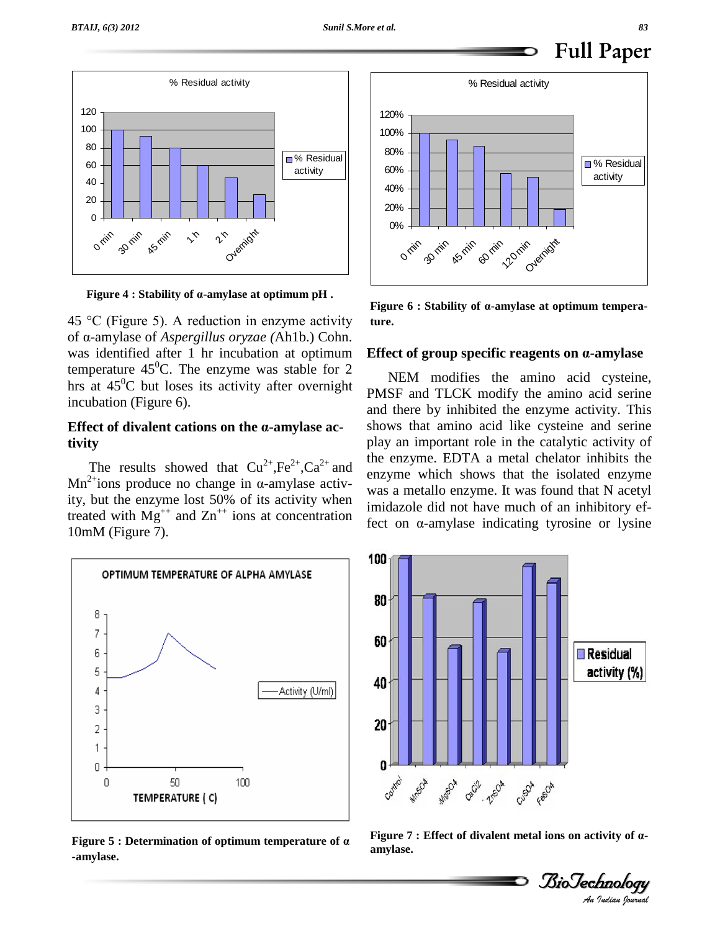

**Figure <sup>4</sup> : Stability of ·-amylase at optimum pH .**

45 °C (Figure 5). A reduction in enzyme activity of ·-amylase of *Aspergillus oryzae (*Ah1b.) Cohn. was identified after 1 hr incubation at optimum temperature 45<sup>0</sup>C. The enzyme was stable for 2 hrs at  $45^{\circ}$ C but loses its activity after overnight  $_{\text{DM}}$ incubation (Figure 6).

#### **Effect of divalent cations on the ·-amylase activity**

The results showed that  $Cu^{2+}$ ,  $Fe^{2+}$ ,  $Ca^{2+}$  and  $O(1)$  $\rm Mn^{2+}ions$  pro he results showed that  $Cu^{2+}$ ,  $Fe^{2+}$ ,  $Ca^{2+}$  and ions produce no change in  $\alpha$ -amylase activity, but the enzyme lost 50% of its activity when treated with  $Mg^{++}$  and  $Zn^{++}$  ions at concentration  $f_{\text{tot}}$ 10mM (Figure 7).



**Figure** 5 **:** Determination of optimum temperature of  $\alpha$  **·** *rigure i* **amylase.** 



**Figure <sup>6</sup> : Stability of ·-amylase at optimum temperature.**

#### **Effect of group specific reagents on ·-amylase**

NEM modifies the amino acid cysteine, PMSF and TLCK modify the amino acid serine and there by inhibited the enzyme activity. This shows that amino acid like cysteine and serine play an important role in the catalytic activity of the enzyme. EDTA a metal chelator inhibits the enzyme which shows that the isolated enzyme was a metallo enzyme. It was found that N acetyl imidazole did not have much of an inhibitory effect on  $\alpha$ -amylase indicating tyrosine or lysine



**Figure 7 : Effect of divalent metal ions on activity of a-<br>amylase.<br><br>BioTechnology** 

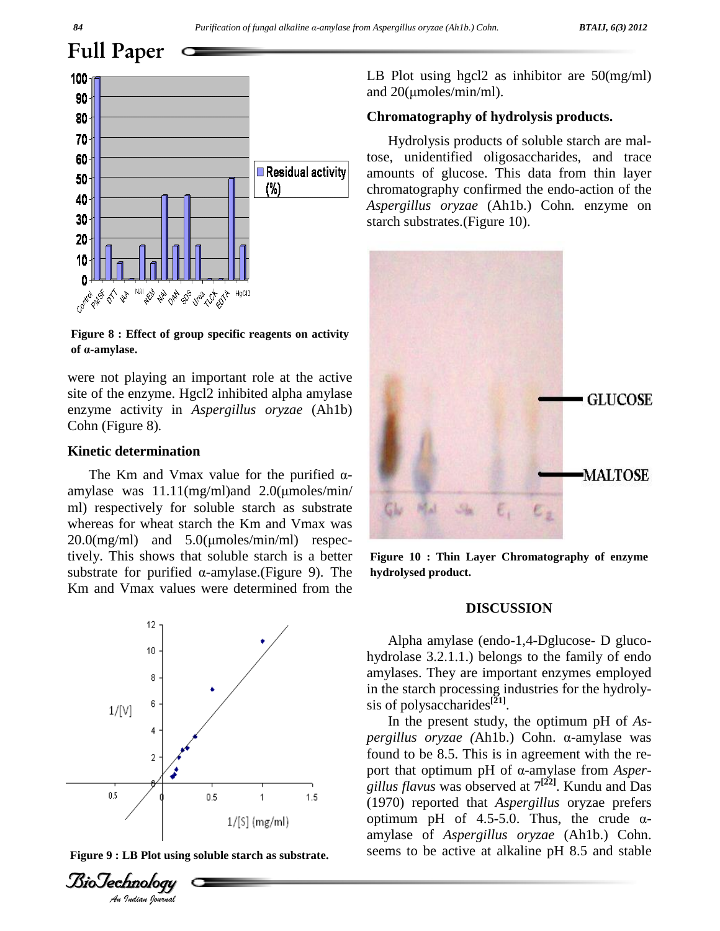

**Figure 8 : Effect of group specific reagents on activity of ·-amylase.**

were not playing an important role at the active site of the enzyme. Hgcl2 inhibited alpha amylase enzyme activity in *Aspergillus oryzae* (Ah1b) Cohn (Figure 8)*.*

#### **Kinetic determination**

The Km and Vmax value for the purified  $\alpha$ -amylase was 11.11(mg/ml)and 2.0( $\mu$ moles/min/ ml) respectively for soluble starch as substrate whereas for wheat starch the Km and Vmax was ml) respectively for soluble starch as substrate<br>whereas for wheat starch the Km and Vmax was<br>20.0(mg/ml) and 5.0(µmoles/min/ml) respectively. This shows that soluble starch is a better 20.0(mg/ml) and 5.0(μmoles/min/ml) respectively. This shows that soluble starch is a better substrate for purified  $α$ -amylase.(Figure 9). The Km and Vmax values were determined from the







LB Plot using hgcl2 as inhibitor are 50(mg/ml) LB Plot using hgcl2 as inh<br>and 20(µmoles/min/ml).

#### **Chromatography of hydrolysis products.**

Hydrolysis products of soluble starch are maltose, unidentified oligosaccharides, and trace amounts of glucose. This data from thin layer chromatography confirmed the endo-action of the *Aspergillus oryzae* (Ah1b.) Cohn*.* enzyme on starch substrates.(Figure 10).



**Figure 10 : Thin Layer Chromatography of enzyme hydrolysed product.**

#### **DISCUSSION**

Alpha amylase (endo-1,4-Dglucose- D gluco hydrolase 3.2.1.1.) belongs to the family of endo amylases. They are important enzymes employed in the starch processing industries for the hydroly sis of polysaccharides **[21]**.

In the present study, the optimum pH of *As pergillus oryzae* (Ah1b.) Cohn. α-amylase was found to be 8.5. This is in agreement with the re port that optimum pH of α-amylase from *Aspergillus flavus* was observed at  $7^{[22]}$ . Kundu and Das (1970) reported that *Aspergillus* oryzae prefers optimum pH of 4.5-5.0. Thus, the crude  $\alpha$ -(1970) reported that *Aspergillus* oryzae prefers amylase of *Aspergillus oryzae* (Ah1b.) Cohn. seems to be active at alkaline pH 8.5 and stable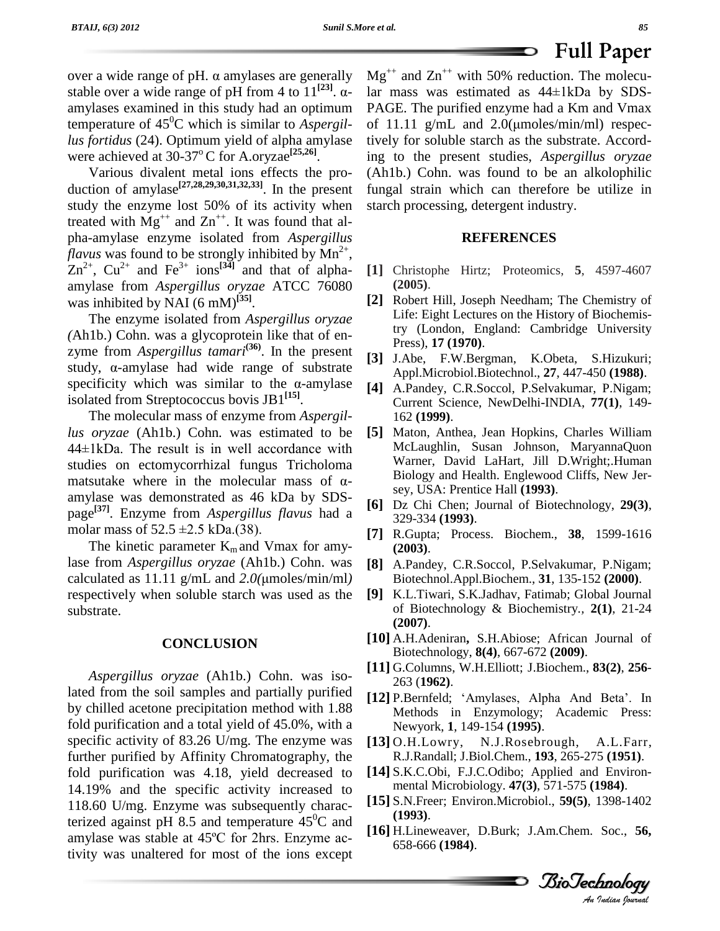over a wide range of pH.  $\alpha$  amylases are generally  $Mg^{++}$  a stable over a wide range of pH from 4 to  $11^{[23]}$ .  $\alpha$ - $\begin{array}{cc}\n\text{herally} & \text{Mg} \\
\hline\n\begin{bmatrix}\n23\n\end{bmatrix} & \alpha - \text{lar}\n\end{array}$ amylases examined in this study had an optimum temperature of 45 <sup>0</sup>C which is similar to *Aspergillus fortidus* (24). Optimum yield of alpha amylase were achieved at 30-37<sup>°</sup>C for A.oryzae<sup>[25,26]</sup>.

Various divalent metal ions effects the pro duction of amylase<sup>[27,28,29,30,31,32,33]</sup>. In the present furstudy the enzyme lost 50% of its activity when treated with  $Mg^{++}$  and  $Zn^{++}$ . It was found that alpha-amylase enzyme isolated from *Aspergillus flavus* was found to be strongly inhibited by  $Mn^{2+}$ , ,  $\text{Zn}^{2+}$ ,  $\text{Cu}^{2+}$  and  $\text{Fe}^{3+}$  ions<sup>[34]</sup> and that of alpha- [1] amylase from *Aspergillus oryzae* ATCC 76080 was inhibited by NAI (6 mM) **[35]**.

The enzyme isolated from *Aspergillus oryzae (*Ah1b.) Cohn. was a glycoprotein like that of en zyme from *Aspergillus tamari*<sup>(36)</sup>. In the present  $\mathbf{z}$ (Ah1b.) Cohn. was a glycoprotein like that of en-<br>zyme from *Aspergillus tamari*<sup>(36)</sup>. In the present [3] J<br>study,  $\alpha$ -amylase had wide range of substrate [3] zyme from *Aspergillus tamari*<sup>(36)</sup>. In the present [3] J<br>study,  $\alpha$ -amylase had wide range of substrate  $\beta$ <br>specificity which was similar to the  $\alpha$ -amylase [4] isolated from Streptococcus bovis JB1 **[15]**.

The molecular mass of enzyme from *Aspergillus oryzae* (Ah1b.) Cohn*.* was estimated to be The molecular mass of enzyme from *Aspergillus oryzae* (Ah1b.) Cohn. was estimated to be [5] M<br>44±1kDa. The result is in well accordance with M studies on ectomycorrhizal fungus Tricholoma  $44\pm 1$ kDa. The result is in well accordance with studies on ectomycorrhizal fungus Tricholoma matsutake where in the molecular mass of  $\alpha$ amylase was demonstrated as 46 kDa by SDS-<br>page<sup>[37]</sup>. Enzyme from *Aspergillus flavus* had a molar mass of 52.5 ±2.5 kDa.(38). [7] page **[37]**. Enzyme from *Aspergillus flavus* had a

The kinetic parameter  $K<sub>m</sub>$  and Vmax for amylase from *Aspergillus oryzae* (Ah1b.) Cohn. was The kinetic parameter  $K_m$  and Vmax for amy-<br>lase from *Aspergillus oryzae* (Ah1b.) Cohn. was [8]<br>calculated as 11.11 g/mL and 2.0(µmoles/min/ml) respectively when soluble starch was used as the substrate.

#### **CONCLUSION**

*Aspergillus oryzae* (Ah1b.) Cohn. was isolated from the soil samples and partially purified by chilled acetone precipitation method with 1.88 fold purification and a total yield of 45.0%, with a specific activity of 83.26 U/mg. The enzyme was  $\left[13\right]$  O.H. Lowry, further purified by Affinity Chromatography, the fold purification was 4.18, yield decreased to 14.19% and the specific activity increased to 118.60 U/mg. Enzyme was subsequently characterized against pH 8.5 and temperature  $45^{\circ}$ C and 118.60 U/mg. Enzyme was subsequently characterized against pH 8.5 and temperature  $45^{\circ}$ C and amylase was stable at  $45^{\circ}$ C for 2hrs. Enzyme activity was unaltered for most of the ions except

 $Mg^{++}$  and  $Zn^{++}$  with 50% reduction. The molecu- $\text{H}$  and  $\text{Zn}^{++}$  with 50% reduction. The molecular mass was estimated as 44±1kDa by SDS-PAGE. The purified enzyme had a Km and Vmax lar mass was estimated as  $44\pm1\text{kDa}$  by SDS-PAGE. The purified enzyme had a Km and Vmax of 11.11 g/mL and 2.0( $\mu$ moles/min/ml) respectively for soluble starch as the substrate. According to the present studies, *Aspergillus oryzae* (Ah1b.) Cohn. was found to be an alkolophilic fungal strain which can therefore be utilize in starch processing, detergent industry.

#### **REFERENCES**

- **[1]** Christophe Hirtz; Proteomics, **5**, 4597-4607 **(2005)**.
- **[2]** Robert Hill, Joseph Needham; The Chemistry of Life: Eight Lectures on the History of Biochemistry (London, England: Cambridge University Press), **17 (1970)**.
- **[3]** J.Abe, F.W.Bergman, K.Obeta, S.Hizukuri; Appl.Microbiol.Biotechnol., **27**, 447-450 **(1988)**.
- **[4]** A.Pandey, C.R.Soccol, P.Selvakumar, P.Nigam; Current Science, NewDelhi-INDIA, **77(1)**, 149- 162 **(1999)**.
- **[5]** Maton, Anthea, Jean Hopkins, Charles William McLaughlin, Susan Johnson, MaryannaQuon Warner, David LaHart, Jill D.Wright;.Human Biology and Health. Englewood Cliffs, New Jer sey, USA: Prentice Hall **(1993)**.
- **[6]** Dz Chi Chen; Journal of Biotechnology, **29(3)**, 329-334 **(1993)**.
- **[7]** R.Gupta; Process. Biochem., **38**, 1599-1616 **(2003)**.
- **[8]** A.Pandey, C.R.Soccol, P.Selvakumar, P.Nigam; Biotechnol.Appl.Biochem., **31**, 135-152 **(2000)**.
- **[9]** K.L.Tiwari, S.K.Jadhav, Fatimab; Global Journal of Biotechnology & Biochemistry*.,* **2(1)**, 21-24 **(2007)**.
- **[10]** A.H.Adeniran**,** S.H.Abiose; African Journal of Biotechnology, **8(4)**, 667-672 **(2009)**.
- **[11]** G.Columns, W.H.Elliott; J.Biochem., **83(2)**, **256** 263 (**1962)**.
- [12] P.Bernfeld; 'Amylases, Alpha And Beta'. In Methods in Enzymology; Academic Press: Newyork, **1**, 149-154 **(1995)**.
- 0.H.Lowry, N.J.Rosebrough, A.L.Farr,<br>R.J.Randall; J.Biol.Chem., **193**, 265-275 **(1951)**. N.J.Rosebrough, A.L.Farr,
- **[14]** S.K.C.Obi, F.J.C.Odibo; Applied and Environ mental Microbiology. **47(3)**, 571-575 **(1984)**.
- *An***[15]** S.N.Freer; Environ.Microbiol., **59(5)**, 1398-1402 **(1993)**.
- **[16]** H.Lineweaver, D.Burk; J.Am.Chem. Soc., **56,** 658-666 **(1984)**.

*Indian Journal*